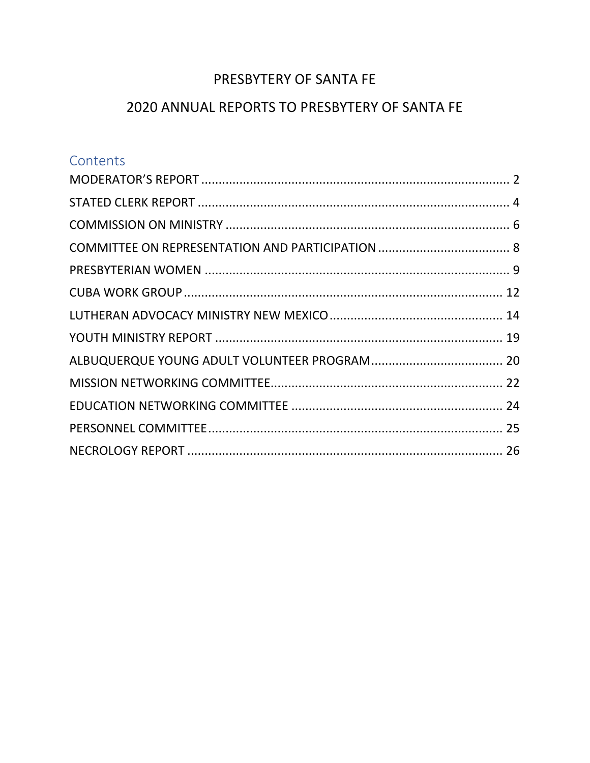# PRESBYTERY OF SANTA FE

# 2020 ANNUAL REPORTS TO PRESBYTERY OF SANTA FE

# Contents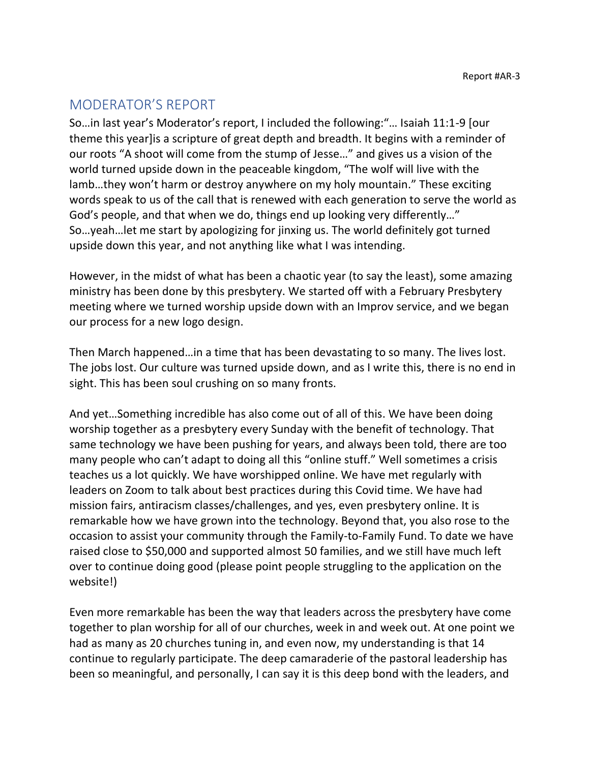# <span id="page-1-0"></span>MODERATOR'S REPORT

So…in last year's Moderator's report, I included the following:"… Isaiah 11:1-9 [our theme this year]is a scripture of great depth and breadth. It begins with a reminder of our roots "A shoot will come from the stump of Jesse…" and gives us a vision of the world turned upside down in the peaceable kingdom, "The wolf will live with the lamb…they won't harm or destroy anywhere on my holy mountain." These exciting words speak to us of the call that is renewed with each generation to serve the world as God's people, and that when we do, things end up looking very differently…" So…yeah…let me start by apologizing for jinxing us. The world definitely got turned upside down this year, and not anything like what I was intending.

However, in the midst of what has been a chaotic year (to say the least), some amazing ministry has been done by this presbytery. We started off with a February Presbytery meeting where we turned worship upside down with an Improv service, and we began our process for a new logo design.

Then March happened…in a time that has been devastating to so many. The lives lost. The jobs lost. Our culture was turned upside down, and as I write this, there is no end in sight. This has been soul crushing on so many fronts.

And yet…Something incredible has also come out of all of this. We have been doing worship together as a presbytery every Sunday with the benefit of technology. That same technology we have been pushing for years, and always been told, there are too many people who can't adapt to doing all this "online stuff." Well sometimes a crisis teaches us a lot quickly. We have worshipped online. We have met regularly with leaders on Zoom to talk about best practices during this Covid time. We have had mission fairs, antiracism classes/challenges, and yes, even presbytery online. It is remarkable how we have grown into the technology. Beyond that, you also rose to the occasion to assist your community through the Family-to-Family Fund. To date we have raised close to \$50,000 and supported almost 50 families, and we still have much left over to continue doing good (please point people struggling to the application on the website!)

Even more remarkable has been the way that leaders across the presbytery have come together to plan worship for all of our churches, week in and week out. At one point we had as many as 20 churches tuning in, and even now, my understanding is that 14 continue to regularly participate. The deep camaraderie of the pastoral leadership has been so meaningful, and personally, I can say it is this deep bond with the leaders, and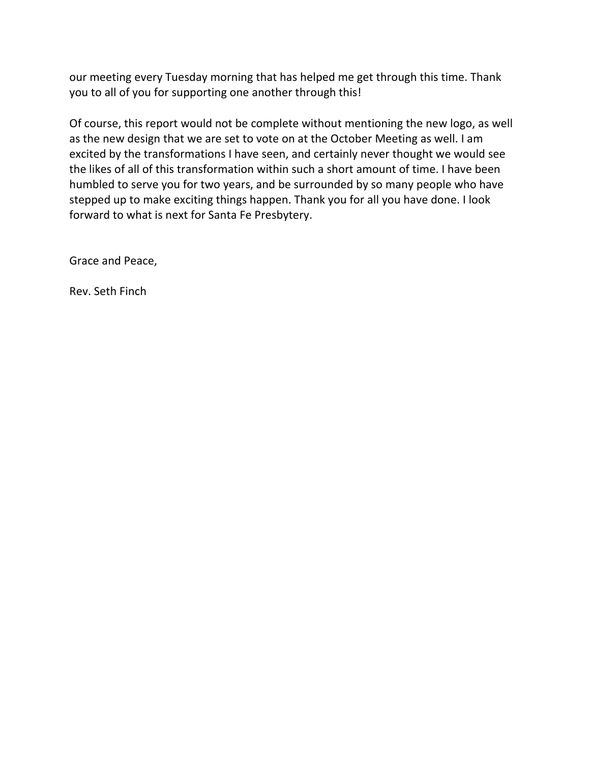our meeting every Tuesday morning that has helped me get through this time. Thank you to all of you for supporting one another through this!

Of course, this report would not be complete without mentioning the new logo, as well as the new design that we are set to vote on at the October Meeting as well. I am excited by the transformations I have seen, and certainly never thought we would see the likes of all of this transformation within such a short amount of time. I have been humbled to serve you for two years, and be surrounded by so many people who have stepped up to make exciting things happen. Thank you for all you have done. I look forward to what is next for Santa Fe Presbytery.

Grace and Peace,

Rev. Seth Finch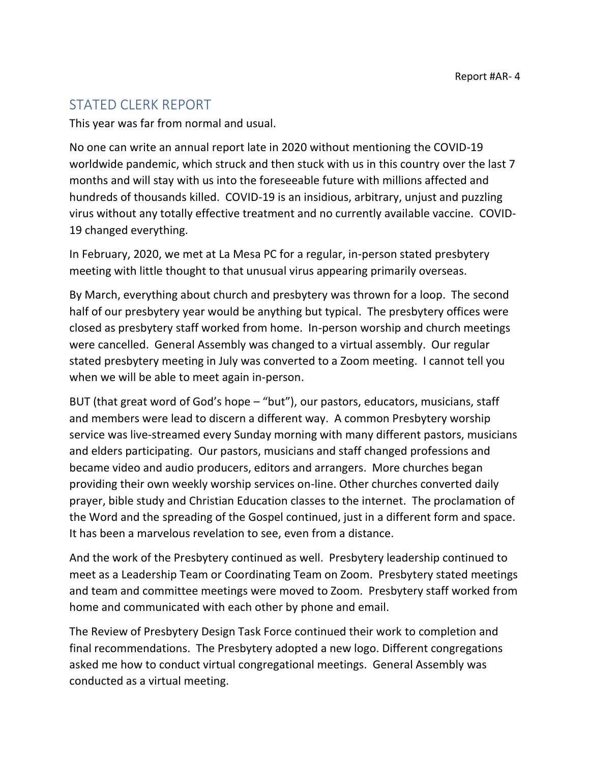# <span id="page-3-0"></span>STATED CLERK REPORT

This year was far from normal and usual.

No one can write an annual report late in 2020 without mentioning the COVID-19 worldwide pandemic, which struck and then stuck with us in this country over the last 7 months and will stay with us into the foreseeable future with millions affected and hundreds of thousands killed. COVID-19 is an insidious, arbitrary, unjust and puzzling virus without any totally effective treatment and no currently available vaccine. COVID-19 changed everything.

In February, 2020, we met at La Mesa PC for a regular, in-person stated presbytery meeting with little thought to that unusual virus appearing primarily overseas.

By March, everything about church and presbytery was thrown for a loop. The second half of our presbytery year would be anything but typical. The presbytery offices were closed as presbytery staff worked from home. In-person worship and church meetings were cancelled. General Assembly was changed to a virtual assembly. Our regular stated presbytery meeting in July was converted to a Zoom meeting. I cannot tell you when we will be able to meet again in-person.

BUT (that great word of God's hope – "but"), our pastors, educators, musicians, staff and members were lead to discern a different way. A common Presbytery worship service was live-streamed every Sunday morning with many different pastors, musicians and elders participating. Our pastors, musicians and staff changed professions and became video and audio producers, editors and arrangers. More churches began providing their own weekly worship services on-line. Other churches converted daily prayer, bible study and Christian Education classes to the internet. The proclamation of the Word and the spreading of the Gospel continued, just in a different form and space. It has been a marvelous revelation to see, even from a distance.

And the work of the Presbytery continued as well. Presbytery leadership continued to meet as a Leadership Team or Coordinating Team on Zoom. Presbytery stated meetings and team and committee meetings were moved to Zoom. Presbytery staff worked from home and communicated with each other by phone and email.

The Review of Presbytery Design Task Force continued their work to completion and final recommendations. The Presbytery adopted a new logo. Different congregations asked me how to conduct virtual congregational meetings. General Assembly was conducted as a virtual meeting.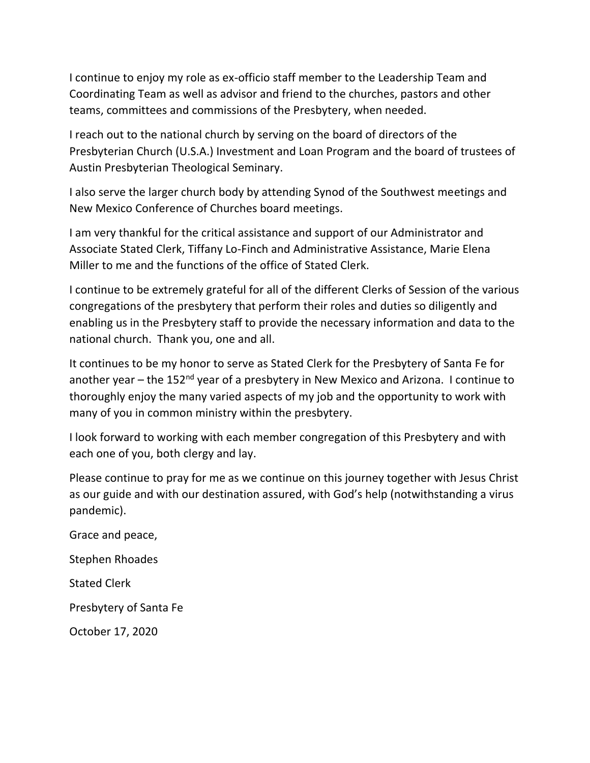I continue to enjoy my role as ex-officio staff member to the Leadership Team and Coordinating Team as well as advisor and friend to the churches, pastors and other teams, committees and commissions of the Presbytery, when needed.

I reach out to the national church by serving on the board of directors of the Presbyterian Church (U.S.A.) Investment and Loan Program and the board of trustees of Austin Presbyterian Theological Seminary.

I also serve the larger church body by attending Synod of the Southwest meetings and New Mexico Conference of Churches board meetings.

I am very thankful for the critical assistance and support of our Administrator and Associate Stated Clerk, Tiffany Lo-Finch and Administrative Assistance, Marie Elena Miller to me and the functions of the office of Stated Clerk.

I continue to be extremely grateful for all of the different Clerks of Session of the various congregations of the presbytery that perform their roles and duties so diligently and enabling us in the Presbytery staff to provide the necessary information and data to the national church. Thank you, one and all.

It continues to be my honor to serve as Stated Clerk for the Presbytery of Santa Fe for another year – the 152 $<sup>nd</sup>$  year of a presbytery in New Mexico and Arizona. I continue to</sup> thoroughly enjoy the many varied aspects of my job and the opportunity to work with many of you in common ministry within the presbytery.

I look forward to working with each member congregation of this Presbytery and with each one of you, both clergy and lay.

Please continue to pray for me as we continue on this journey together with Jesus Christ as our guide and with our destination assured, with God's help (notwithstanding a virus pandemic).

Grace and peace, Stephen Rhoades Stated Clerk Presbytery of Santa Fe October 17, 2020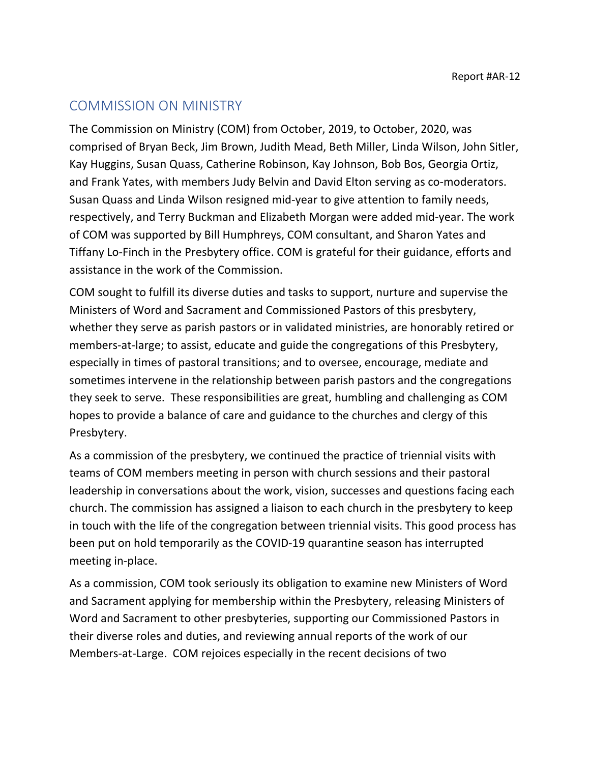## <span id="page-5-0"></span>COMMISSION ON MINISTRY

The Commission on Ministry (COM) from October, 2019, to October, 2020, was comprised of Bryan Beck, Jim Brown, Judith Mead, Beth Miller, Linda Wilson, John Sitler, Kay Huggins, Susan Quass, Catherine Robinson, Kay Johnson, Bob Bos, Georgia Ortiz, and Frank Yates, with members Judy Belvin and David Elton serving as co-moderators. Susan Quass and Linda Wilson resigned mid-year to give attention to family needs, respectively, and Terry Buckman and Elizabeth Morgan were added mid-year. The work of COM was supported by Bill Humphreys, COM consultant, and Sharon Yates and Tiffany Lo-Finch in the Presbytery office. COM is grateful for their guidance, efforts and assistance in the work of the Commission.

COM sought to fulfill its diverse duties and tasks to support, nurture and supervise the Ministers of Word and Sacrament and Commissioned Pastors of this presbytery, whether they serve as parish pastors or in validated ministries, are honorably retired or members-at-large; to assist, educate and guide the congregations of this Presbytery, especially in times of pastoral transitions; and to oversee, encourage, mediate and sometimes intervene in the relationship between parish pastors and the congregations they seek to serve. These responsibilities are great, humbling and challenging as COM hopes to provide a balance of care and guidance to the churches and clergy of this Presbytery.

As a commission of the presbytery, we continued the practice of triennial visits with teams of COM members meeting in person with church sessions and their pastoral leadership in conversations about the work, vision, successes and questions facing each church. The commission has assigned a liaison to each church in the presbytery to keep in touch with the life of the congregation between triennial visits. This good process has been put on hold temporarily as the COVID-19 quarantine season has interrupted meeting in-place.

As a commission, COM took seriously its obligation to examine new Ministers of Word and Sacrament applying for membership within the Presbytery, releasing Ministers of Word and Sacrament to other presbyteries, supporting our Commissioned Pastors in their diverse roles and duties, and reviewing annual reports of the work of our Members-at-Large. COM rejoices especially in the recent decisions of two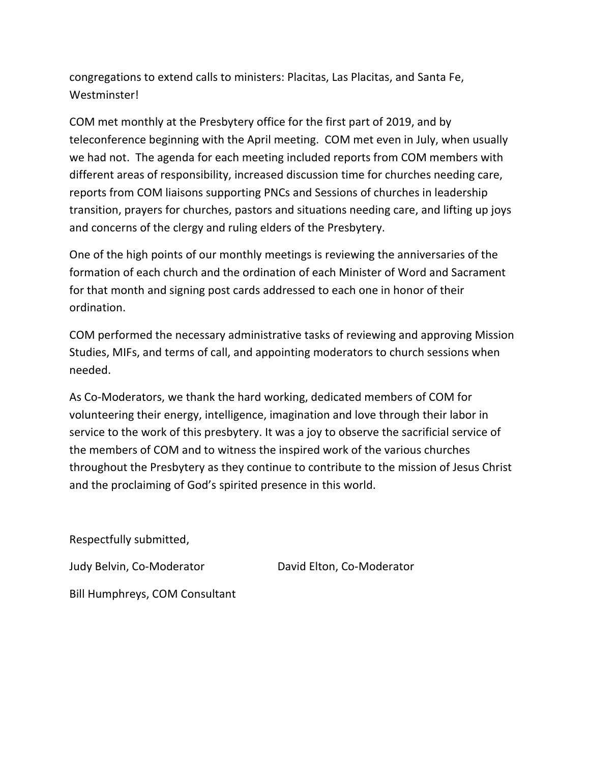congregations to extend calls to ministers: Placitas, Las Placitas, and Santa Fe, Westminster!

COM met monthly at the Presbytery office for the first part of 2019, and by teleconference beginning with the April meeting. COM met even in July, when usually we had not. The agenda for each meeting included reports from COM members with different areas of responsibility, increased discussion time for churches needing care, reports from COM liaisons supporting PNCs and Sessions of churches in leadership transition, prayers for churches, pastors and situations needing care, and lifting up joys and concerns of the clergy and ruling elders of the Presbytery.

One of the high points of our monthly meetings is reviewing the anniversaries of the formation of each church and the ordination of each Minister of Word and Sacrament for that month and signing post cards addressed to each one in honor of their ordination.

COM performed the necessary administrative tasks of reviewing and approving Mission Studies, MIFs, and terms of call, and appointing moderators to church sessions when needed.

As Co-Moderators, we thank the hard working, dedicated members of COM for volunteering their energy, intelligence, imagination and love through their labor in service to the work of this presbytery. It was a joy to observe the sacrificial service of the members of COM and to witness the inspired work of the various churches throughout the Presbytery as they continue to contribute to the mission of Jesus Christ and the proclaiming of God's spirited presence in this world.

Respectfully submitted,

Judy Belvin, Co-Moderator **David Elton, Co-Moderator** 

Bill Humphreys, COM Consultant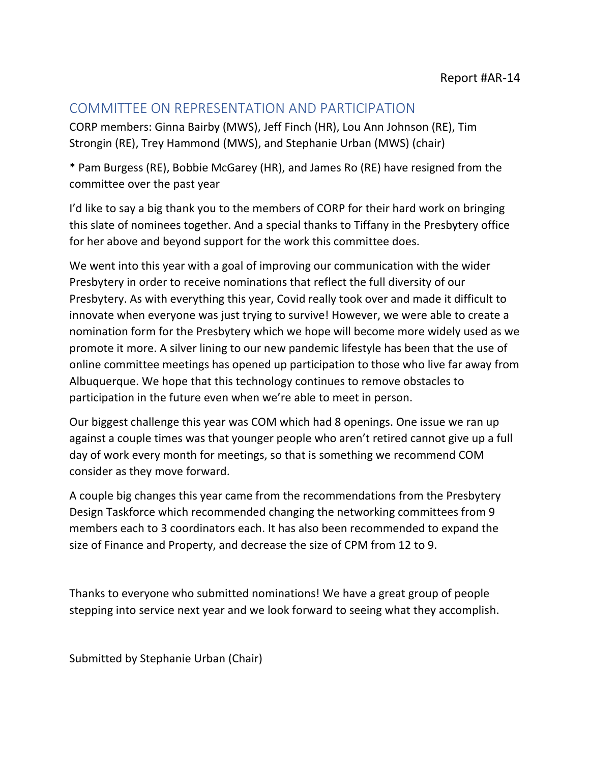## <span id="page-7-0"></span>COMMITTEE ON REPRESENTATION AND PARTICIPATION

CORP members: Ginna Bairby (MWS), Jeff Finch (HR), Lou Ann Johnson (RE), Tim Strongin (RE), Trey Hammond (MWS), and Stephanie Urban (MWS) (chair)

\* Pam Burgess (RE), Bobbie McGarey (HR), and James Ro (RE) have resigned from the committee over the past year

I'd like to say a big thank you to the members of CORP for their hard work on bringing this slate of nominees together. And a special thanks to Tiffany in the Presbytery office for her above and beyond support for the work this committee does.

We went into this year with a goal of improving our communication with the wider Presbytery in order to receive nominations that reflect the full diversity of our Presbytery. As with everything this year, Covid really took over and made it difficult to innovate when everyone was just trying to survive! However, we were able to create a nomination form for the Presbytery which we hope will become more widely used as we promote it more. A silver lining to our new pandemic lifestyle has been that the use of online committee meetings has opened up participation to those who live far away from Albuquerque. We hope that this technology continues to remove obstacles to participation in the future even when we're able to meet in person.

Our biggest challenge this year was COM which had 8 openings. One issue we ran up against a couple times was that younger people who aren't retired cannot give up a full day of work every month for meetings, so that is something we recommend COM consider as they move forward.

A couple big changes this year came from the recommendations from the Presbytery Design Taskforce which recommended changing the networking committees from 9 members each to 3 coordinators each. It has also been recommended to expand the size of Finance and Property, and decrease the size of CPM from 12 to 9.

Thanks to everyone who submitted nominations! We have a great group of people stepping into service next year and we look forward to seeing what they accomplish.

Submitted by Stephanie Urban (Chair)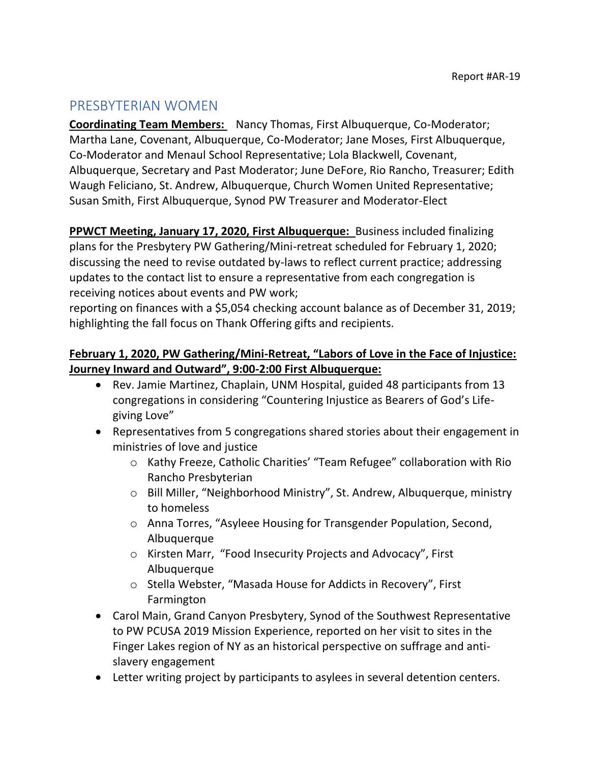## <span id="page-8-0"></span>PRESBYTERIAN WOMEN

**Coordinating Team Members:** Nancy Thomas, First Albuquerque, Co-Moderator; Martha Lane, Covenant, Albuquerque, Co-Moderator; Jane Moses, First Albuquerque, Co-Moderator and Menaul School Representative; Lola Blackwell, Covenant, Albuquerque, Secretary and Past Moderator; June DeFore, Rio Rancho, Treasurer; Edith Waugh Feliciano, St. Andrew, Albuquerque, Church Women United Representative; Susan Smith, First Albuquerque, Synod PW Treasurer and Moderator-Elect

**PPWCT Meeting, January 17, 2020, First Albuquerque:** Business included finalizing plans for the Presbytery PW Gathering/Mini-retreat scheduled for February 1, 2020; discussing the need to revise outdated by-laws to reflect current practice; addressing updates to the contact list to ensure a representative from each congregation is receiving notices about events and PW work;

reporting on finances with a \$5,054 checking account balance as of December 31, 2019; highlighting the fall focus on Thank Offering gifts and recipients.

## **February 1, 2020, PW Gathering/Mini-Retreat, "Labors of Love in the Face of Injustice: Journey Inward and Outward", 9:00-2:00 First Albuquerque:**

- Rev. Jamie Martinez, Chaplain, UNM Hospital, guided 48 participants from 13 congregations in considering "Countering Injustice as Bearers of God's Lifegiving Love"
- Representatives from 5 congregations shared stories about their engagement in ministries of love and justice
	- o Kathy Freeze, Catholic Charities' "Team Refugee" collaboration with Rio Rancho Presbyterian
	- o Bill Miller, "Neighborhood Ministry", St. Andrew, Albuquerque, ministry to homeless
	- o Anna Torres, "Asyleee Housing for Transgender Population, Second, Albuquerque
	- o Kirsten Marr, "Food Insecurity Projects and Advocacy", First Albuquerque
	- o Stella Webster, "Masada House for Addicts in Recovery", First Farmington
- Carol Main, Grand Canyon Presbytery, Synod of the Southwest Representative to PW PCUSA 2019 Mission Experience, reported on her visit to sites in the Finger Lakes region of NY as an historical perspective on suffrage and antislavery engagement
- Letter writing project by participants to asylees in several detention centers.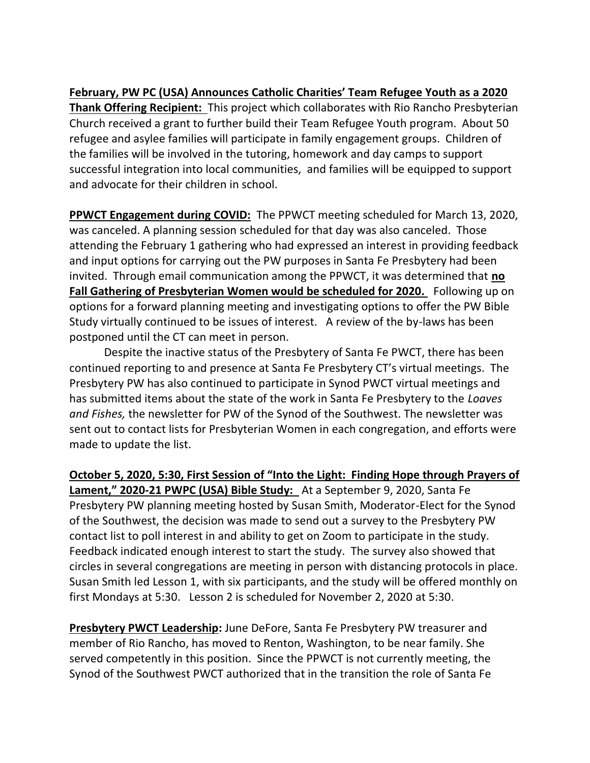**February, PW PC (USA) Announces Catholic Charities' Team Refugee Youth as a 2020 Thank Offering Recipient:** This project which collaborates with Rio Rancho Presbyterian Church received a grant to further build their Team Refugee Youth program. About 50 refugee and asylee families will participate in family engagement groups. Children of the families will be involved in the tutoring, homework and day camps to support successful integration into local communities, and families will be equipped to support and advocate for their children in school.

**PPWCT Engagement during COVID:** The PPWCT meeting scheduled for March 13, 2020, was canceled. A planning session scheduled for that day was also canceled. Those attending the February 1 gathering who had expressed an interest in providing feedback and input options for carrying out the PW purposes in Santa Fe Presbytery had been invited. Through email communication among the PPWCT, it was determined that **no Fall Gathering of Presbyterian Women would be scheduled for 2020.** Following up on options for a forward planning meeting and investigating options to offer the PW Bible Study virtually continued to be issues of interest. A review of the by-laws has been postponed until the CT can meet in person.

Despite the inactive status of the Presbytery of Santa Fe PWCT, there has been continued reporting to and presence at Santa Fe Presbytery CT's virtual meetings. The Presbytery PW has also continued to participate in Synod PWCT virtual meetings and has submitted items about the state of the work in Santa Fe Presbytery to the *Loaves and Fishes,* the newsletter for PW of the Synod of the Southwest. The newsletter was sent out to contact lists for Presbyterian Women in each congregation, and efforts were made to update the list.

**October 5, 2020, 5:30, First Session of "Into the Light: Finding Hope through Prayers of Lament," 2020-21 PWPC (USA) Bible Study:** At a September 9, 2020, Santa Fe Presbytery PW planning meeting hosted by Susan Smith, Moderator-Elect for the Synod of the Southwest, the decision was made to send out a survey to the Presbytery PW contact list to poll interest in and ability to get on Zoom to participate in the study. Feedback indicated enough interest to start the study. The survey also showed that circles in several congregations are meeting in person with distancing protocols in place. Susan Smith led Lesson 1, with six participants, and the study will be offered monthly on first Mondays at 5:30. Lesson 2 is scheduled for November 2, 2020 at 5:30.

**Presbytery PWCT Leadership:** June DeFore, Santa Fe Presbytery PW treasurer and member of Rio Rancho, has moved to Renton, Washington, to be near family. She served competently in this position. Since the PPWCT is not currently meeting, the Synod of the Southwest PWCT authorized that in the transition the role of Santa Fe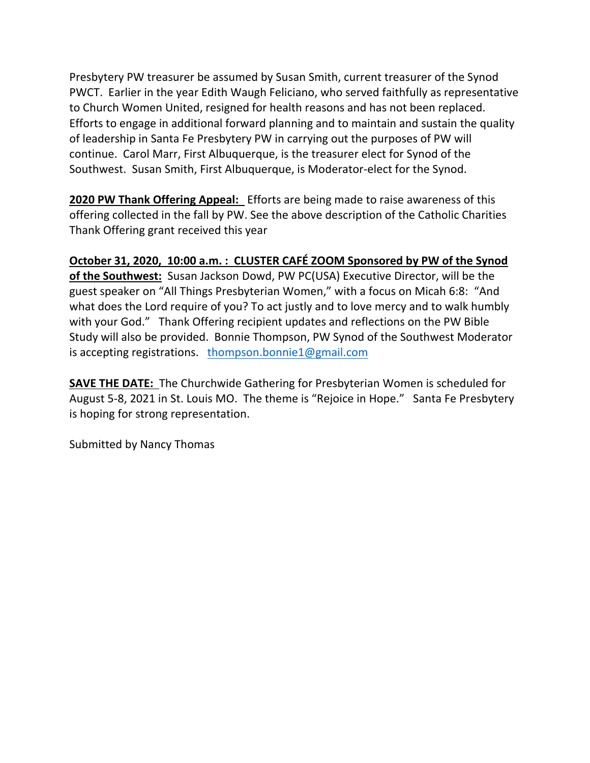Presbytery PW treasurer be assumed by Susan Smith, current treasurer of the Synod PWCT. Earlier in the year Edith Waugh Feliciano, who served faithfully as representative to Church Women United, resigned for health reasons and has not been replaced. Efforts to engage in additional forward planning and to maintain and sustain the quality of leadership in Santa Fe Presbytery PW in carrying out the purposes of PW will continue. Carol Marr, First Albuquerque, is the treasurer elect for Synod of the Southwest. Susan Smith, First Albuquerque, is Moderator-elect for the Synod.

**2020 PW Thank Offering Appeal:** Efforts are being made to raise awareness of this offering collected in the fall by PW. See the above description of the Catholic Charities Thank Offering grant received this year

## **October 31, 2020, 10:00 a.m. : CLUSTER CAFÉ ZOOM Sponsored by PW of the Synod**

**of the Southwest:** Susan Jackson Dowd, PW PC(USA) Executive Director, will be the guest speaker on "All Things Presbyterian Women," with a focus on Micah 6:8: "And what does the Lord require of you? To act justly and to love mercy and to walk humbly with your God." Thank Offering recipient updates and reflections on the PW Bible Study will also be provided. Bonnie Thompson, PW Synod of the Southwest Moderator is accepting registrations. [thompson.bonnie1@gmail.com](mailto:thompson.bonnie1@gmail.com)

**SAVE THE DATE:** The Churchwide Gathering for Presbyterian Women is scheduled for August 5-8, 2021 in St. Louis MO. The theme is "Rejoice in Hope." Santa Fe Presbytery is hoping for strong representation.

Submitted by Nancy Thomas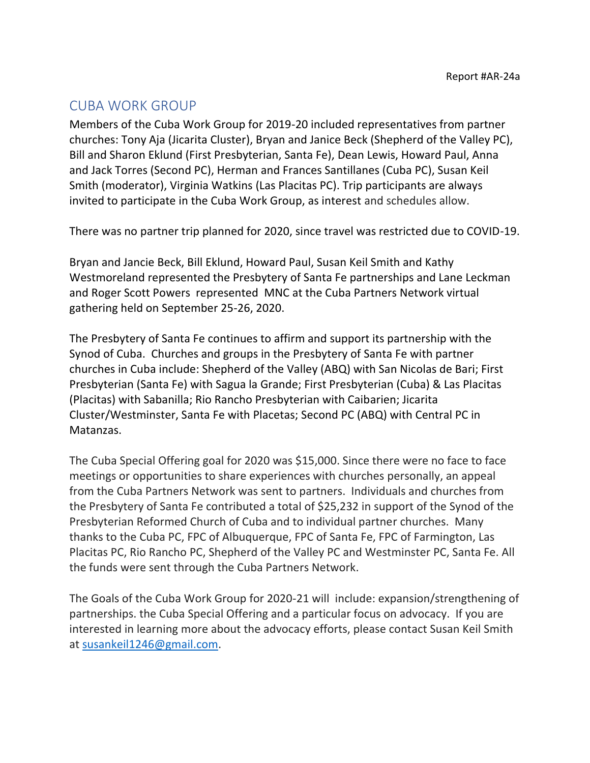## <span id="page-11-0"></span>CUBA WORK GROUP

Members of the Cuba Work Group for 2019-20 included representatives from partner churches: Tony Aja (Jicarita Cluster), Bryan and Janice Beck (Shepherd of the Valley PC), Bill and Sharon Eklund (First Presbyterian, Santa Fe), Dean Lewis, Howard Paul, Anna and Jack Torres (Second PC), Herman and Frances Santillanes (Cuba PC), Susan Keil Smith (moderator), Virginia Watkins (Las Placitas PC). Trip participants are always invited to participate in the Cuba Work Group, as interest and schedules allow.

There was no partner trip planned for 2020, since travel was restricted due to COVID-19.

Bryan and Jancie Beck, Bill Eklund, Howard Paul, Susan Keil Smith and Kathy Westmoreland represented the Presbytery of Santa Fe partnerships and Lane Leckman and Roger Scott Powers represented MNC at the Cuba Partners Network virtual gathering held on September 25-26, 2020.

The Presbytery of Santa Fe continues to affirm and support its partnership with the Synod of Cuba. Churches and groups in the Presbytery of Santa Fe with partner churches in Cuba include: Shepherd of the Valley (ABQ) with San Nicolas de Bari; First Presbyterian (Santa Fe) with Sagua la Grande; First Presbyterian (Cuba) & Las Placitas (Placitas) with Sabanilla; Rio Rancho Presbyterian with Caibarien; Jicarita Cluster/Westminster, Santa Fe with Placetas; Second PC (ABQ) with Central PC in Matanzas.

The Cuba Special Offering goal for 2020 was \$15,000. Since there were no face to face meetings or opportunities to share experiences with churches personally, an appeal from the Cuba Partners Network was sent to partners. Individuals and churches from the Presbytery of Santa Fe contributed a total of \$25,232 in support of the Synod of the Presbyterian Reformed Church of Cuba and to individual partner churches. Many thanks to the Cuba PC, FPC of Albuquerque, FPC of Santa Fe, FPC of Farmington, Las Placitas PC, Rio Rancho PC, Shepherd of the Valley PC and Westminster PC, Santa Fe. All the funds were sent through the Cuba Partners Network.

The Goals of the Cuba Work Group for 2020-21 will include: expansion/strengthening of partnerships. the Cuba Special Offering and a particular focus on advocacy. If you are interested in learning more about the advocacy efforts, please contact Susan Keil Smith at [susankeil1246@gmail.com.](mailto:susankeil1246@gmail.com)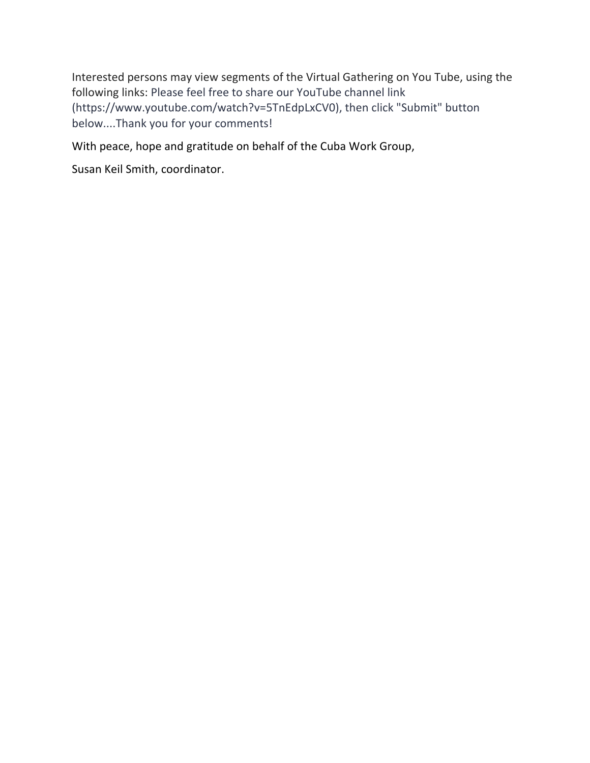Interested persons may view segments of the Virtual Gathering on You Tube, using the following links: Please feel free to share our YouTube channel link (https://www.youtube.com/watch?v=5TnEdpLxCV0), then click "Submit" button below....Thank you for your comments!

With peace, hope and gratitude on behalf of the Cuba Work Group,

Susan Keil Smith, coordinator.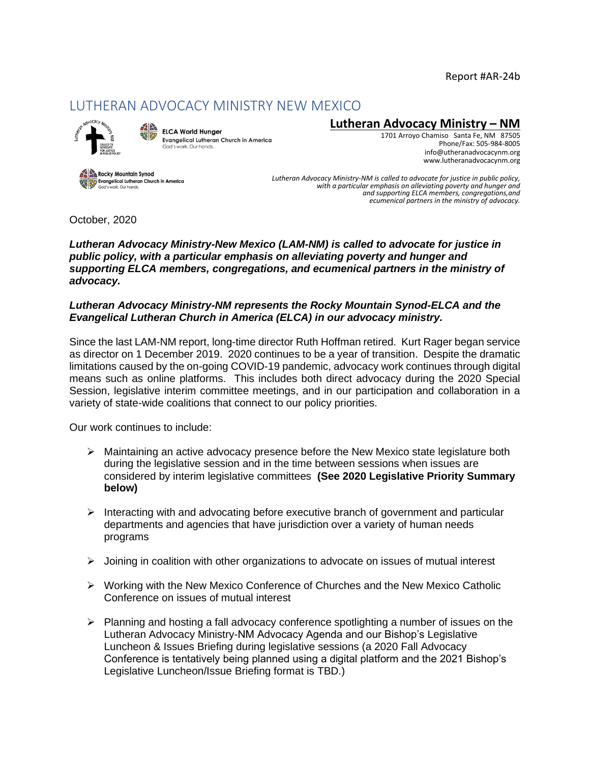Report #AR-24b

## <span id="page-13-0"></span>LUTHERAN ADVOCACY MINISTRY NEW MEXICO



ELCA World Hunger **Evangelical Lutheran Church in America** vork, Our hands.

### **Lutheran Advocacy Ministry – NM**

1701 Arroyo Chamiso Santa Fe, NM 87505 Phone/Fax: 505-984-8005 [info@utheranadvocacynm.org](mailto:info@utheranadvocacynm.org)  [www.lutheranadvocacynm.org](http://www.lutheranadvocacynm.org/)

Rocky Mountain Synod **A KOCKY MOUNTAIN SYNCOLOGY AND EXPLORER IN A MOVEMENT CONTROL**<br>A Society of Contracts Curbonds

*Lutheran Advocacy Ministry-NM is called to advocate for justice in public policy, with a particular emphasis on alleviating poverty and hunger and and supporting ELCA members, congregations,and ecumenical partners in the ministry of advocacy.*

October, 2020

*Lutheran Advocacy Ministry-New Mexico (LAM-NM) is called to advocate for justice in public policy, with a particular emphasis on alleviating poverty and hunger and supporting ELCA members, congregations, and ecumenical partners in the ministry of advocacy.*

#### *Lutheran Advocacy Ministry-NM represents the Rocky Mountain Synod-ELCA and the Evangelical Lutheran Church in America (ELCA) in our advocacy ministry.*

Since the last LAM-NM report, long-time director Ruth Hoffman retired. Kurt Rager began service as director on 1 December 2019. 2020 continues to be a year of transition. Despite the dramatic limitations caused by the on-going COVID-19 pandemic, advocacy work continues through digital means such as online platforms. This includes both direct advocacy during the 2020 Special Session, legislative interim committee meetings, and in our participation and collaboration in a variety of state-wide coalitions that connect to our policy priorities.

Our work continues to include:

- $\triangleright$  Maintaining an active advocacy presence before the New Mexico state legislature both during the legislative session and in the time between sessions when issues are considered by interim legislative committees **(See 2020 Legislative Priority Summary below)**
- $\triangleright$  Interacting with and advocating before executive branch of government and particular departments and agencies that have jurisdiction over a variety of human needs programs
- $\triangleright$  Joining in coalition with other organizations to advocate on issues of mutual interest
- ➢ Working with the New Mexico Conference of Churches and the New Mexico Catholic Conference on issues of mutual interest
- $\triangleright$  Planning and hosting a fall advocacy conference spotlighting a number of issues on the Lutheran Advocacy Ministry-NM Advocacy Agenda and our Bishop's Legislative Luncheon & Issues Briefing during legislative sessions (a 2020 Fall Advocacy Conference is tentatively being planned using a digital platform and the 2021 Bishop's Legislative Luncheon/Issue Briefing format is TBD.)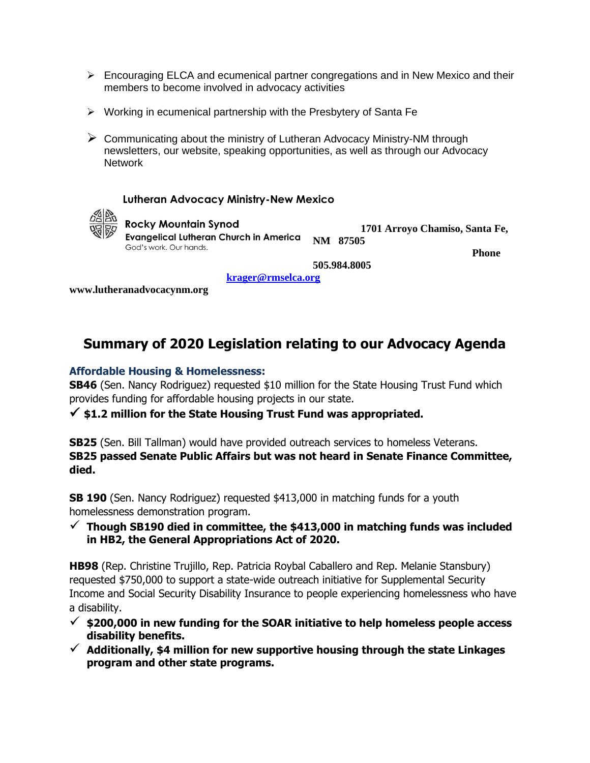- $\triangleright$  Encouraging ELCA and ecumenical partner congregations and in New Mexico and their members to become involved in advocacy activities
- ➢ Working in ecumenical partnership with the Presbytery of Santa Fe
- ➢ Communicating about the ministry of Lutheran Advocacy Ministry-NM through newsletters, our website, speaking opportunities, as well as through our Advocacy **Network**

#### **Lutheran Advocacy Ministry-New Mexico**



### **Rocky Mountain Synod**

**Evangelical Lutheran Church in America NM 87505** God's work. Our hands.

 **Phone** 

 **1701 Arroyo Chamiso, Santa Fe,** 

**505.984.8005**

 **[krager@rmselca.org](mailto:krager@rmselca.org)** 

**[www.lutheranadvocacynm.org](http://www.lam-nm.org/)**

# **Summary of 2020 Legislation relating to our Advocacy Agenda**

#### **Affordable Housing & Homelessness:**

**SB46** (Sen. Nancy Rodriguez) requested \$10 million for the State Housing Trust Fund which provides funding for affordable housing projects in our state.

✓ **\$1.2 million for the State Housing Trust Fund was appropriated.** 

**SB25** (Sen. Bill Tallman) would have provided outreach services to homeless Veterans. **SB25 passed Senate Public Affairs but was not heard in Senate Finance Committee, died.** 

**SB 190** (Sen. Nancy Rodriguez) requested \$413,000 in matching funds for a youth homelessness demonstration program.

 $\checkmark$  Though SB190 died in committee, the \$413,000 in matching funds was included **in HB2, the General Appropriations Act of 2020.**

**HB98** (Rep. Christine Trujillo, Rep. Patricia Roybal Caballero and Rep. Melanie Stansbury) requested \$750,000 to support a state-wide outreach initiative for Supplemental Security Income and Social Security Disability Insurance to people experiencing homelessness who have a disability.

- ✓ **\$200,000 in new funding for the SOAR initiative to help homeless people access disability benefits.**
- ✓ **Additionally, \$4 million for new supportive housing through the state Linkages program and other state programs.**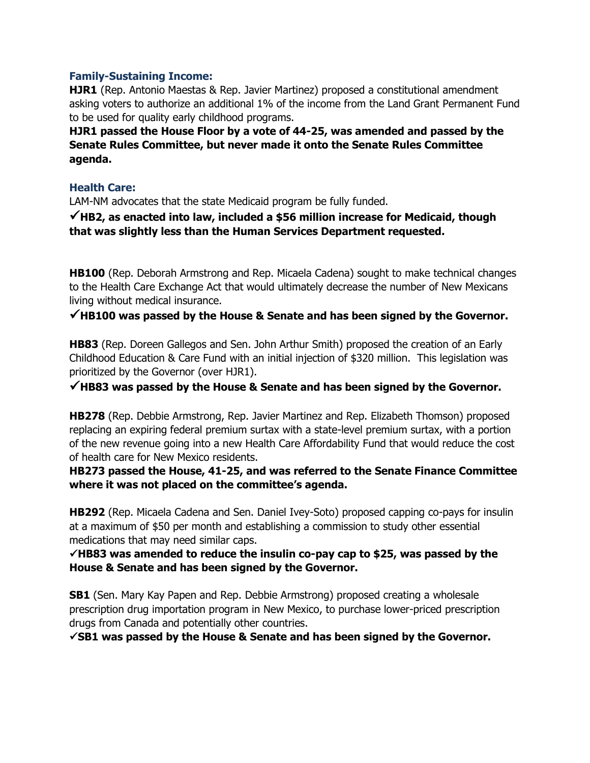#### **Family-Sustaining Income:**

**HJR1** (Rep. Antonio Maestas & Rep. Javier Martinez) proposed a constitutional amendment asking voters to authorize an additional 1% of the income from the Land Grant Permanent Fund to be used for quality early childhood programs.

**HJR1 passed the House Floor by a vote of 44-25, was amended and passed by the Senate Rules Committee, but never made it onto the Senate Rules Committee agenda.**

#### **Health Care:**

LAM-NM advocates that the state Medicaid program be fully funded.

✓**HB2, as enacted into law, included a \$56 million increase for Medicaid, though that was slightly less than the Human Services Department requested.**

**HB100** (Rep. Deborah Armstrong and Rep. Micaela Cadena) sought to make technical changes to the Health Care Exchange Act that would ultimately decrease the number of New Mexicans living without medical insurance.

### ✓**HB100 was passed by the House & Senate and has been signed by the Governor.**

**HB83** (Rep. Doreen Gallegos and Sen. John Arthur Smith) proposed the creation of an Early Childhood Education & Care Fund with an initial injection of \$320 million. This legislation was prioritized by the Governor (over HJR1).

✓**HB83 was passed by the House & Senate and has been signed by the Governor.**

**HB278** (Rep. Debbie Armstrong, Rep. Javier Martinez and Rep. Elizabeth Thomson) proposed replacing an expiring federal premium surtax with a state-level premium surtax, with a portion of the new revenue going into a new Health Care Affordability Fund that would reduce the cost of health care for New Mexico residents.

#### **HB273 passed the House, 41-25, and was referred to the Senate Finance Committee where it was not placed on the committee's agenda.**

**HB292** (Rep. Micaela Cadena and Sen. Daniel Ivey-Soto) proposed capping co-pays for insulin at a maximum of \$50 per month and establishing a commission to study other essential medications that may need similar caps.

#### ✓**HB83 was amended to reduce the insulin co-pay cap to \$25, was passed by the House & Senate and has been signed by the Governor.**

**SB1** (Sen. Mary Kay Papen and Rep. Debbie Armstrong) proposed creating a wholesale prescription drug importation program in New Mexico, to purchase lower-priced prescription drugs from Canada and potentially other countries.

✓**SB1 was passed by the House & Senate and has been signed by the Governor.**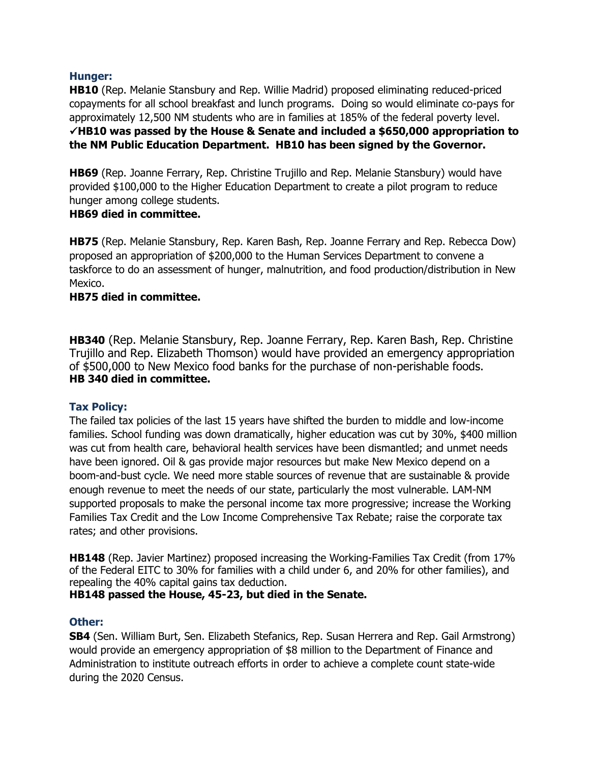#### **Hunger:**

**HB10** (Rep. Melanie Stansbury and Rep. Willie Madrid) proposed eliminating reduced-priced copayments for all school breakfast and lunch programs. Doing so would eliminate co-pays for approximately 12,500 NM students who are in families at 185% of the federal poverty level. ✓**HB10 was passed by the House & Senate and included a \$650,000 appropriation to the NM Public Education Department. HB10 has been signed by the Governor.**

**HB69** (Rep. Joanne Ferrary, Rep. Christine Trujillo and Rep. Melanie Stansbury) would have provided \$100,000 to the Higher Education Department to create a pilot program to reduce hunger among college students.

#### **HB69 died in committee.**

**HB75** (Rep. Melanie Stansbury, Rep. Karen Bash, Rep. Joanne Ferrary and Rep. Rebecca Dow) proposed an appropriation of \$200,000 to the Human Services Department to convene a taskforce to do an assessment of hunger, malnutrition, and food production/distribution in New Mexico.

#### **HB75 died in committee.**

**HB340** (Rep. Melanie Stansbury, Rep. Joanne Ferrary, Rep. Karen Bash, Rep. Christine Trujillo and Rep. Elizabeth Thomson) would have provided an emergency appropriation of \$500,000 to New Mexico food banks for the purchase of non-perishable foods. **HB 340 died in committee.** 

#### **Tax Policy:**

The failed tax policies of the last 15 years have shifted the burden to middle and low-income families. School funding was down dramatically, higher education was cut by 30%, \$400 million was cut from health care, behavioral health services have been dismantled; and unmet needs have been ignored. Oil & gas provide major resources but make New Mexico depend on a boom-and-bust cycle. We need more stable sources of revenue that are sustainable & provide enough revenue to meet the needs of our state, particularly the most vulnerable. LAM-NM supported proposals to make the personal income tax more progressive; increase the Working Families Tax Credit and the Low Income Comprehensive Tax Rebate; raise the corporate tax rates; and other provisions.

**HB148** (Rep. Javier Martinez) proposed increasing the Working-Families Tax Credit (from 17% of the Federal EITC to 30% for families with a child under 6, and 20% for other families), and repealing the 40% capital gains tax deduction.

**HB148 passed the House, 45-23, but died in the Senate.**

#### **Other:**

**SB4** (Sen. William Burt, Sen. Elizabeth Stefanics, Rep. Susan Herrera and Rep. Gail Armstrong) would provide an emergency appropriation of \$8 million to the Department of Finance and Administration to institute outreach efforts in order to achieve a complete count state-wide during the 2020 Census.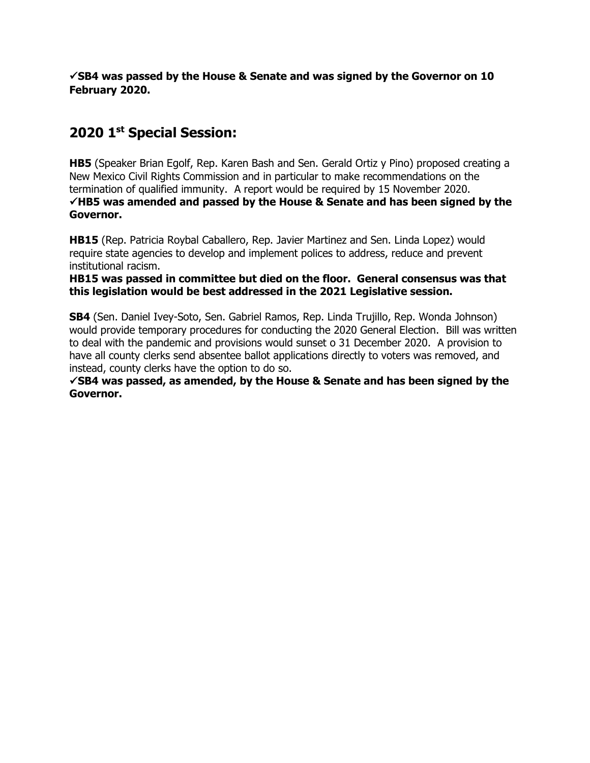✓**SB4 was passed by the House & Senate and was signed by the Governor on 10 February 2020.**

# **2020 1st Special Session:**

**HB5** (Speaker Brian Egolf, Rep. Karen Bash and Sen. Gerald Ortiz y Pino) proposed creating a New Mexico Civil Rights Commission and in particular to make recommendations on the termination of qualified immunity. A report would be required by 15 November 2020. ✓**HB5 was amended and passed by the House & Senate and has been signed by the Governor.**

**HB15** (Rep. Patricia Roybal Caballero, Rep. Javier Martinez and Sen. Linda Lopez) would require state agencies to develop and implement polices to address, reduce and prevent institutional racism.

**HB15 was passed in committee but died on the floor. General consensus was that this legislation would be best addressed in the 2021 Legislative session.**

**SB4** (Sen. Daniel Ivey-Soto, Sen. Gabriel Ramos, Rep. Linda Trujillo, Rep. Wonda Johnson) would provide temporary procedures for conducting the 2020 General Election. Bill was written to deal with the pandemic and provisions would sunset o 31 December 2020. A provision to have all county clerks send absentee ballot applications directly to voters was removed, and instead, county clerks have the option to do so.

✓**SB4 was passed, as amended, by the House & Senate and has been signed by the Governor.**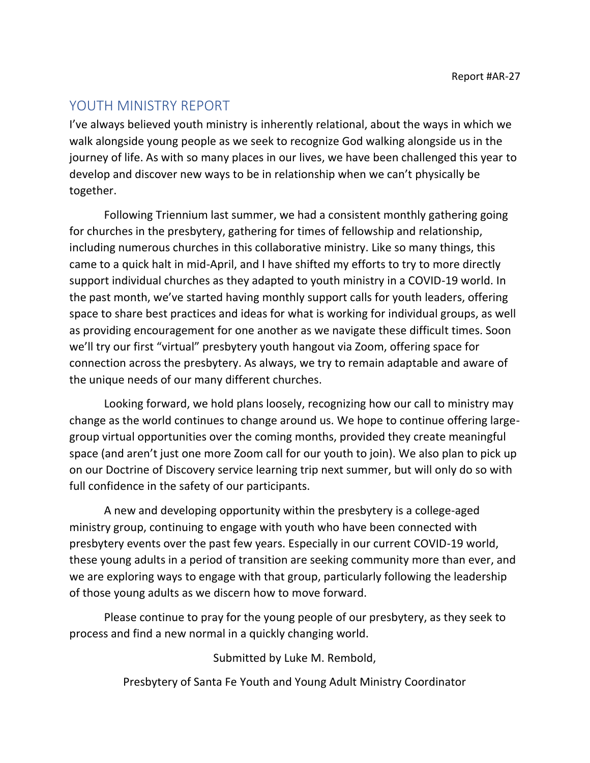# <span id="page-18-0"></span>YOUTH MINISTRY REPORT

I've always believed youth ministry is inherently relational, about the ways in which we walk alongside young people as we seek to recognize God walking alongside us in the journey of life. As with so many places in our lives, we have been challenged this year to develop and discover new ways to be in relationship when we can't physically be together.

Following Triennium last summer, we had a consistent monthly gathering going for churches in the presbytery, gathering for times of fellowship and relationship, including numerous churches in this collaborative ministry. Like so many things, this came to a quick halt in mid-April, and I have shifted my efforts to try to more directly support individual churches as they adapted to youth ministry in a COVID-19 world. In the past month, we've started having monthly support calls for youth leaders, offering space to share best practices and ideas for what is working for individual groups, as well as providing encouragement for one another as we navigate these difficult times. Soon we'll try our first "virtual" presbytery youth hangout via Zoom, offering space for connection across the presbytery. As always, we try to remain adaptable and aware of the unique needs of our many different churches.

Looking forward, we hold plans loosely, recognizing how our call to ministry may change as the world continues to change around us. We hope to continue offering largegroup virtual opportunities over the coming months, provided they create meaningful space (and aren't just one more Zoom call for our youth to join). We also plan to pick up on our Doctrine of Discovery service learning trip next summer, but will only do so with full confidence in the safety of our participants.

A new and developing opportunity within the presbytery is a college-aged ministry group, continuing to engage with youth who have been connected with presbytery events over the past few years. Especially in our current COVID-19 world, these young adults in a period of transition are seeking community more than ever, and we are exploring ways to engage with that group, particularly following the leadership of those young adults as we discern how to move forward.

Please continue to pray for the young people of our presbytery, as they seek to process and find a new normal in a quickly changing world.

Submitted by Luke M. Rembold,

Presbytery of Santa Fe Youth and Young Adult Ministry Coordinator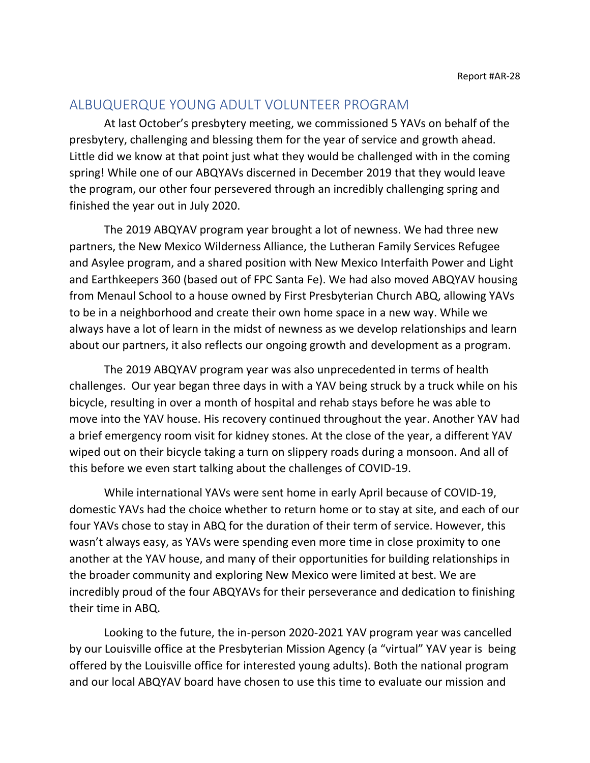## <span id="page-19-0"></span>ALBUQUERQUE YOUNG ADULT VOLUNTEER PROGRAM

At last October's presbytery meeting, we commissioned 5 YAVs on behalf of the presbytery, challenging and blessing them for the year of service and growth ahead. Little did we know at that point just what they would be challenged with in the coming spring! While one of our ABQYAVs discerned in December 2019 that they would leave the program, our other four persevered through an incredibly challenging spring and finished the year out in July 2020.

The 2019 ABQYAV program year brought a lot of newness. We had three new partners, the New Mexico Wilderness Alliance, the Lutheran Family Services Refugee and Asylee program, and a shared position with New Mexico Interfaith Power and Light and Earthkeepers 360 (based out of FPC Santa Fe). We had also moved ABQYAV housing from Menaul School to a house owned by First Presbyterian Church ABQ, allowing YAVs to be in a neighborhood and create their own home space in a new way. While we always have a lot of learn in the midst of newness as we develop relationships and learn about our partners, it also reflects our ongoing growth and development as a program.

The 2019 ABQYAV program year was also unprecedented in terms of health challenges. Our year began three days in with a YAV being struck by a truck while on his bicycle, resulting in over a month of hospital and rehab stays before he was able to move into the YAV house. His recovery continued throughout the year. Another YAV had a brief emergency room visit for kidney stones. At the close of the year, a different YAV wiped out on their bicycle taking a turn on slippery roads during a monsoon. And all of this before we even start talking about the challenges of COVID-19.

While international YAVs were sent home in early April because of COVID-19, domestic YAVs had the choice whether to return home or to stay at site, and each of our four YAVs chose to stay in ABQ for the duration of their term of service. However, this wasn't always easy, as YAVs were spending even more time in close proximity to one another at the YAV house, and many of their opportunities for building relationships in the broader community and exploring New Mexico were limited at best. We are incredibly proud of the four ABQYAVs for their perseverance and dedication to finishing their time in ABQ.

Looking to the future, the in-person 2020-2021 YAV program year was cancelled by our Louisville office at the Presbyterian Mission Agency (a "virtual" YAV year is being offered by the Louisville office for interested young adults). Both the national program and our local ABQYAV board have chosen to use this time to evaluate our mission and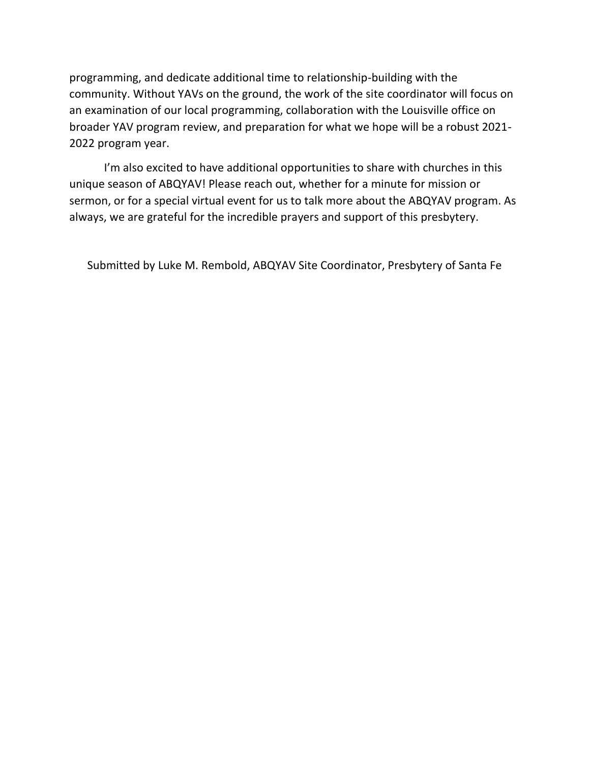programming, and dedicate additional time to relationship-building with the community. Without YAVs on the ground, the work of the site coordinator will focus on an examination of our local programming, collaboration with the Louisville office on broader YAV program review, and preparation for what we hope will be a robust 2021- 2022 program year.

I'm also excited to have additional opportunities to share with churches in this unique season of ABQYAV! Please reach out, whether for a minute for mission or sermon, or for a special virtual event for us to talk more about the ABQYAV program. As always, we are grateful for the incredible prayers and support of this presbytery.

Submitted by Luke M. Rembold, ABQYAV Site Coordinator, Presbytery of Santa Fe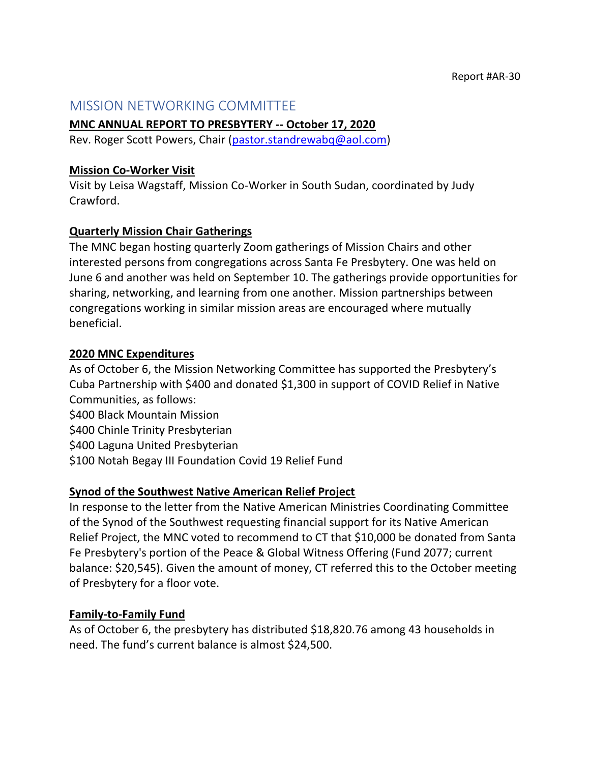## <span id="page-21-0"></span>MISSION NETWORKING COMMITTEE

### **MNC ANNUAL REPORT TO PRESBYTERY -- October 17, 2020**

Rev. Roger Scott Powers, Chair [\(pastor.standrewabq@aol.com\)](mailto:pastor.standrewabq@aol.com)

### **Mission Co-Worker Visit**

Visit by Leisa Wagstaff, Mission Co-Worker in South Sudan, coordinated by Judy Crawford.

## **Quarterly Mission Chair Gatherings**

The MNC began hosting quarterly Zoom gatherings of Mission Chairs and other interested persons from congregations across Santa Fe Presbytery. One was held on June 6 and another was held on September 10. The gatherings provide opportunities for sharing, networking, and learning from one another. Mission partnerships between congregations working in similar mission areas are encouraged where mutually beneficial.

## **2020 MNC Expenditures**

As of October 6, the Mission Networking Committee has supported the Presbytery's Cuba Partnership with \$400 and donated \$1,300 in support of COVID Relief in Native Communities, as follows:

\$400 Black Mountain Mission

\$400 Chinle Trinity Presbyterian

\$400 Laguna United Presbyterian

\$100 Notah Begay III Foundation Covid 19 Relief Fund

## **Synod of the Southwest Native American Relief Project**

In response to the letter from the Native American Ministries Coordinating Committee of the Synod of the Southwest requesting financial support for its Native American Relief Project, the MNC voted to recommend to CT that \$10,000 be donated from Santa Fe Presbytery's portion of the Peace & Global Witness Offering (Fund 2077; current balance: \$20,545). Given the amount of money, CT referred this to the October meeting of Presbytery for a floor vote.

## **Family-to-Family Fund**

As of October 6, the presbytery has distributed \$18,820.76 among 43 households in need. The fund's current balance is almost \$24,500.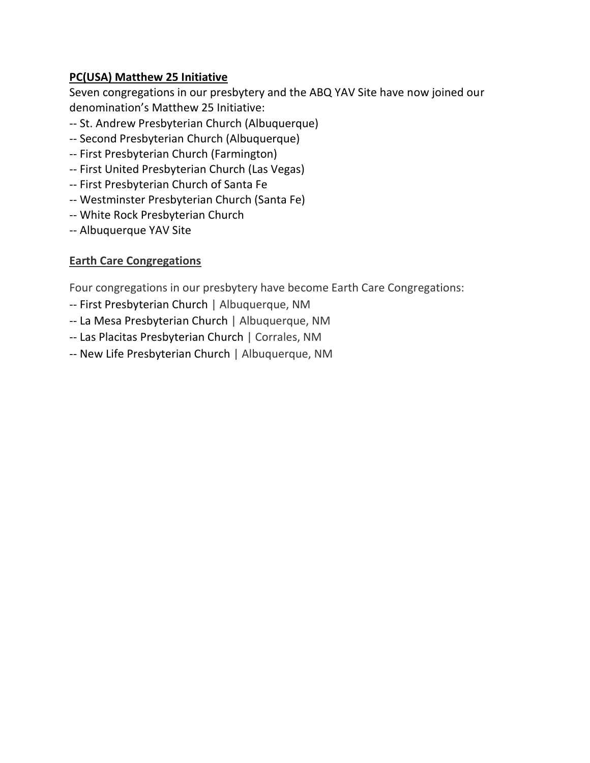## **PC(USA) Matthew 25 Initiative**

Seven congregations in our presbytery and the ABQ YAV Site have now joined our denomination's Matthew 25 Initiative:

- -- St. Andrew Presbyterian Church (Albuquerque)
- -- Second Presbyterian Church (Albuquerque)
- -- First Presbyterian Church (Farmington)
- -- First United Presbyterian Church (Las Vegas)
- -- First Presbyterian Church of Santa Fe
- -- Westminster Presbyterian Church (Santa Fe)
- -- White Rock Presbyterian Church
- -- Albuquerque YAV Site

## **Earth Care Congregations**

Four congregations in our presbytery have become Earth Care Congregations:

- -- First Presbyterian Church | Albuquerque, NM
- -- La Mesa Presbyterian Church | Albuquerque, NM
- -- Las Placitas Presbyterian Church | Corrales, NM
- -- New Life Presbyterian Church | Albuquerque, NM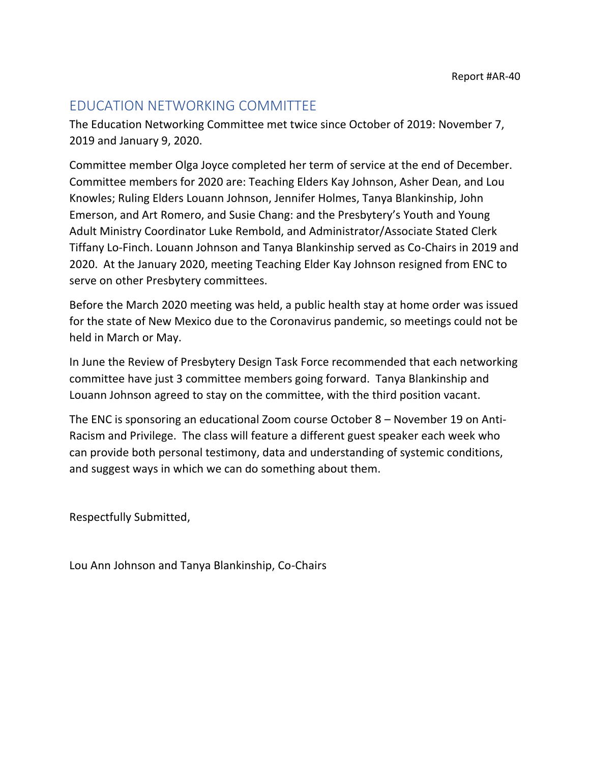# <span id="page-23-0"></span>EDUCATION NETWORKING COMMITTEE

The Education Networking Committee met twice since October of 2019: November 7, 2019 and January 9, 2020.

Committee member Olga Joyce completed her term of service at the end of December. Committee members for 2020 are: Teaching Elders Kay Johnson, Asher Dean, and Lou Knowles; Ruling Elders Louann Johnson, Jennifer Holmes, Tanya Blankinship, John Emerson, and Art Romero, and Susie Chang: and the Presbytery's Youth and Young Adult Ministry Coordinator Luke Rembold, and Administrator/Associate Stated Clerk Tiffany Lo-Finch. Louann Johnson and Tanya Blankinship served as Co-Chairs in 2019 and 2020. At the January 2020, meeting Teaching Elder Kay Johnson resigned from ENC to serve on other Presbytery committees.

Before the March 2020 meeting was held, a public health stay at home order was issued for the state of New Mexico due to the Coronavirus pandemic, so meetings could not be held in March or May.

In June the Review of Presbytery Design Task Force recommended that each networking committee have just 3 committee members going forward. Tanya Blankinship and Louann Johnson agreed to stay on the committee, with the third position vacant.

The ENC is sponsoring an educational Zoom course October 8 – November 19 on Anti-Racism and Privilege. The class will feature a different guest speaker each week who can provide both personal testimony, data and understanding of systemic conditions, and suggest ways in which we can do something about them.

Respectfully Submitted,

Lou Ann Johnson and Tanya Blankinship, Co-Chairs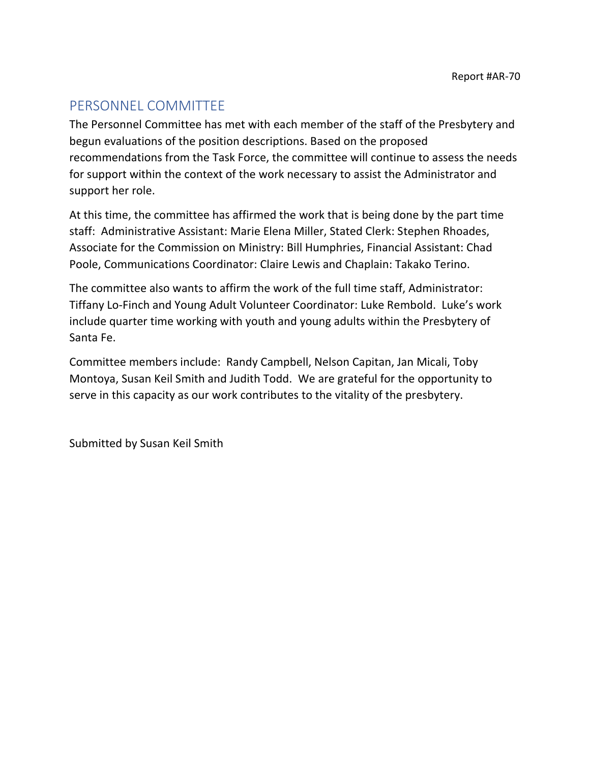# <span id="page-24-0"></span>PERSONNEL COMMITTEE

The Personnel Committee has met with each member of the staff of the Presbytery and begun evaluations of the position descriptions. Based on the proposed recommendations from the Task Force, the committee will continue to assess the needs for support within the context of the work necessary to assist the Administrator and support her role.

At this time, the committee has affirmed the work that is being done by the part time staff: Administrative Assistant: Marie Elena Miller, Stated Clerk: Stephen Rhoades, Associate for the Commission on Ministry: Bill Humphries, Financial Assistant: Chad Poole, Communications Coordinator: Claire Lewis and Chaplain: Takako Terino.

The committee also wants to affirm the work of the full time staff, Administrator: Tiffany Lo-Finch and Young Adult Volunteer Coordinator: Luke Rembold. Luke's work include quarter time working with youth and young adults within the Presbytery of Santa Fe.

Committee members include: Randy Campbell, Nelson Capitan, Jan Micali, Toby Montoya, Susan Keil Smith and Judith Todd. We are grateful for the opportunity to serve in this capacity as our work contributes to the vitality of the presbytery.

Submitted by Susan Keil Smith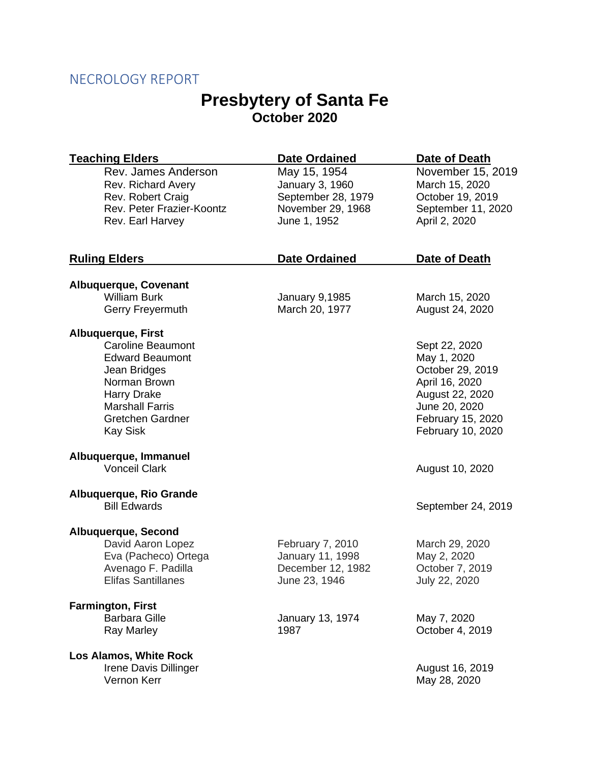# <span id="page-25-0"></span>NECROLOGY REPORT

# **Presbytery of Santa Fe October 2020**

| <b>Teaching Elders</b>                                                                                                                                                                                        | <b>Date Ordained</b>                                                                       | Date of Death                                                                                                                                    |
|---------------------------------------------------------------------------------------------------------------------------------------------------------------------------------------------------------------|--------------------------------------------------------------------------------------------|--------------------------------------------------------------------------------------------------------------------------------------------------|
| Rev. James Anderson<br>Rev. Richard Avery<br>Rev. Robert Craig<br>Rev. Peter Frazier-Koontz<br>Rev. Earl Harvey                                                                                               | May 15, 1954<br>January 3, 1960<br>September 28, 1979<br>November 29, 1968<br>June 1, 1952 | November 15, 2019<br>March 15, 2020<br>October 19, 2019<br>September 11, 2020<br>April 2, 2020                                                   |
|                                                                                                                                                                                                               |                                                                                            |                                                                                                                                                  |
| <b>Ruling Elders</b>                                                                                                                                                                                          | <b>Date Ordained</b>                                                                       | Date of Death                                                                                                                                    |
| <b>Albuquerque, Covenant</b>                                                                                                                                                                                  |                                                                                            |                                                                                                                                                  |
| <b>William Burk</b>                                                                                                                                                                                           | January 9,1985                                                                             | March 15, 2020                                                                                                                                   |
| Gerry Freyermuth                                                                                                                                                                                              | March 20, 1977                                                                             | August 24, 2020                                                                                                                                  |
| <b>Albuquerque, First</b><br><b>Caroline Beaumont</b><br><b>Edward Beaumont</b><br>Jean Bridges<br>Norman Brown<br><b>Harry Drake</b><br><b>Marshall Farris</b><br><b>Gretchen Gardner</b><br><b>Kay Sisk</b> |                                                                                            | Sept 22, 2020<br>May 1, 2020<br>October 29, 2019<br>April 16, 2020<br>August 22, 2020<br>June 20, 2020<br>February 15, 2020<br>February 10, 2020 |
| Albuquerque, Immanuel<br><b>Vonceil Clark</b>                                                                                                                                                                 |                                                                                            | August 10, 2020                                                                                                                                  |
| Albuquerque, Rio Grande<br><b>Bill Edwards</b>                                                                                                                                                                |                                                                                            | September 24, 2019                                                                                                                               |
| Albuquerque, Second<br>David Aaron Lopez<br>Eva (Pacheco) Ortega<br>Avenago F. Padilla<br><b>Elifas Santillanes</b>                                                                                           | February 7, 2010<br>January 11, 1998<br>December 12, 1982<br>June 23, 1946                 | March 29, 2020<br>May 2, 2020<br>October 7, 2019<br>July 22, 2020                                                                                |
| <b>Farmington, First</b><br><b>Barbara Gille</b><br><b>Ray Marley</b>                                                                                                                                         | January 13, 1974<br>1987                                                                   | May 7, 2020<br>October 4, 2019                                                                                                                   |
| Los Alamos, White Rock<br>Irene Davis Dillinger<br>Vernon Kerr                                                                                                                                                |                                                                                            | August 16, 2019<br>May 28, 2020                                                                                                                  |